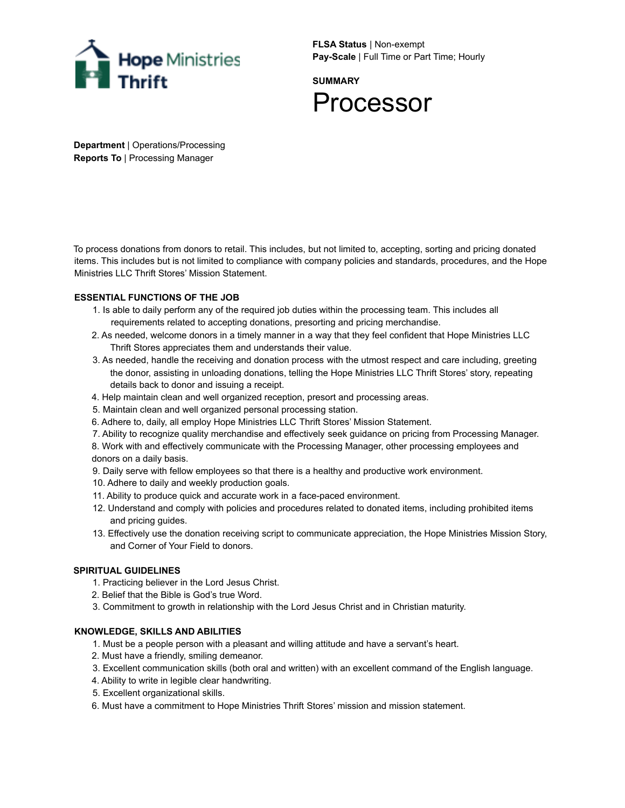

**FLSA Status** | Non-exempt **Pay-Scale** | Full Time or Part Time; Hourly

**SUMMARY** Processor

**Department** | Operations/Processing **Reports To** | Processing Manager

To process donations from donors to retail. This includes, but not limited to, accepting, sorting and pricing donated items. This includes but is not limited to compliance with company policies and standards, procedures, and the Hope Ministries LLC Thrift Stores' Mission Statement.

## **ESSENTIAL FUNCTIONS OF THE JOB**

- 1. Is able to daily perform any of the required job duties within the processing team. This includes all requirements related to accepting donations, presorting and pricing merchandise.
- 2. As needed, welcome donors in a timely manner in a way that they feel confident that Hope Ministries LLC Thrift Stores appreciates them and understands their value.
- 3. As needed, handle the receiving and donation process with the utmost respect and care including, greeting the donor, assisting in unloading donations, telling the Hope Ministries LLC Thrift Stores' story, repeating details back to donor and issuing a receipt.
- 4. Help maintain clean and well organized reception, presort and processing areas.
- 5. Maintain clean and well organized personal processing station.
- 6. Adhere to, daily, all employ Hope Ministries LLC Thrift Stores' Mission Statement.

7. Ability to recognize quality merchandise and effectively seek guidance on pricing from Processing Manager.

8. Work with and effectively communicate with the Processing Manager, other processing employees and donors on a daily basis.

9. Daily serve with fellow employees so that there is a healthy and productive work environment.

- 10. Adhere to daily and weekly production goals.
- 11. Ability to produce quick and accurate work in a face-paced environment.
- 12. Understand and comply with policies and procedures related to donated items, including prohibited items and pricing guides.
- 13. Effectively use the donation receiving script to communicate appreciation, the Hope Ministries Mission Story, and Corner of Your Field to donors.

## **SPIRITUAL GUIDELINES**

- 1. Practicing believer in the Lord Jesus Christ.
- 2. Belief that the Bible is God's true Word.
- 3. Commitment to growth in relationship with the Lord Jesus Christ and in Christian maturity.

# **KNOWLEDGE, SKILLS AND ABILITIES**

- 1. Must be a people person with a pleasant and willing attitude and have a servant's heart.
- 2. Must have a friendly, smiling demeanor.
- 3. Excellent communication skills (both oral and written) with an excellent command of the English language.
- 4. Ability to write in legible clear handwriting.
- 5. Excellent organizational skills.
- 6. Must have a commitment to Hope Ministries Thrift Stores' mission and mission statement.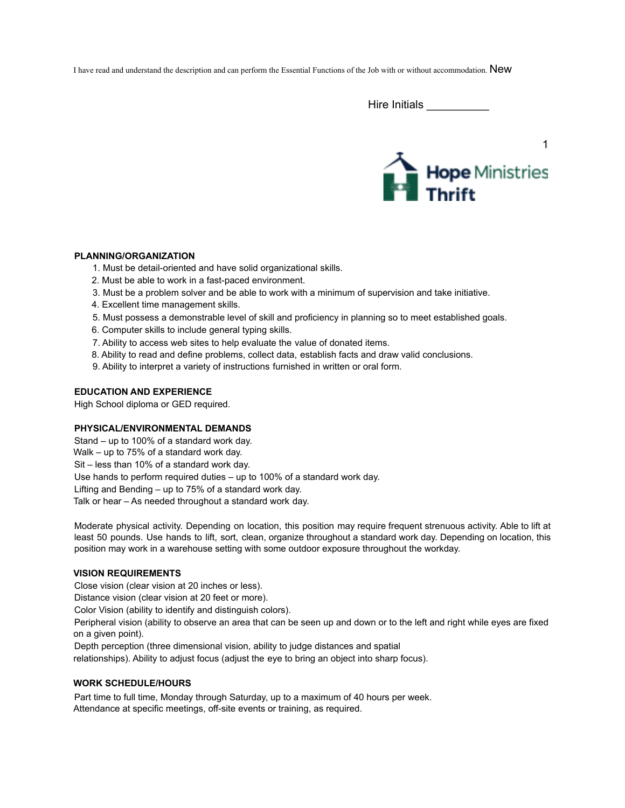I have read and understand the description and can perform the Essential Functions of the Job with or without accommodation. New

Hire Initials \_\_\_\_\_\_\_\_\_\_\_



#### **PLANNING/ORGANIZATION**

- 1. Must be detail-oriented and have solid organizational skills.
- 2. Must be able to work in a fast-paced environment.
- 3. Must be a problem solver and be able to work with a minimum of supervision and take initiative.
- 4. Excellent time management skills.
- 5. Must possess a demonstrable level of skill and proficiency in planning so to meet established goals.
- 6. Computer skills to include general typing skills.
- 7. Ability to access web sites to help evaluate the value of donated items.
- 8. Ability to read and define problems, collect data, establish facts and draw valid conclusions.
- 9. Ability to interpret a variety of instructions furnished in written or oral form.

#### **EDUCATION AND EXPERIENCE**

High School diploma or GED required.

#### **PHYSICAL/ENVIRONMENTAL DEMANDS**

Stand – up to 100% of a standard work day. Walk – up to 75% of a standard work day. Sit – less than 10% of a standard work day. Use hands to perform required duties – up to 100% of a standard work day. Lifting and Bending – up to 75% of a standard work day. Talk or hear – As needed throughout a standard work day.

Moderate physical activity. Depending on location, this position may require frequent strenuous activity. Able to lift at least 50 pounds. Use hands to lift, sort, clean, organize throughout a standard work day. Depending on location, this position may work in a warehouse setting with some outdoor exposure throughout the workday.

#### **VISION REQUIREMENTS**

Close vision (clear vision at 20 inches or less).

Distance vision (clear vision at 20 feet or more).

Color Vision (ability to identify and distinguish colors).

Peripheral vision (ability to observe an area that can be seen up and down or to the left and right while eyes are fixed on a given point).

Depth perception (three dimensional vision, ability to judge distances and spatial

relationships). Ability to adjust focus (adjust the eye to bring an object into sharp focus).

#### **WORK SCHEDULE/HOURS**

Part time to full time, Monday through Saturday, up to a maximum of 40 hours per week. Attendance at specific meetings, off-site events or training, as required.